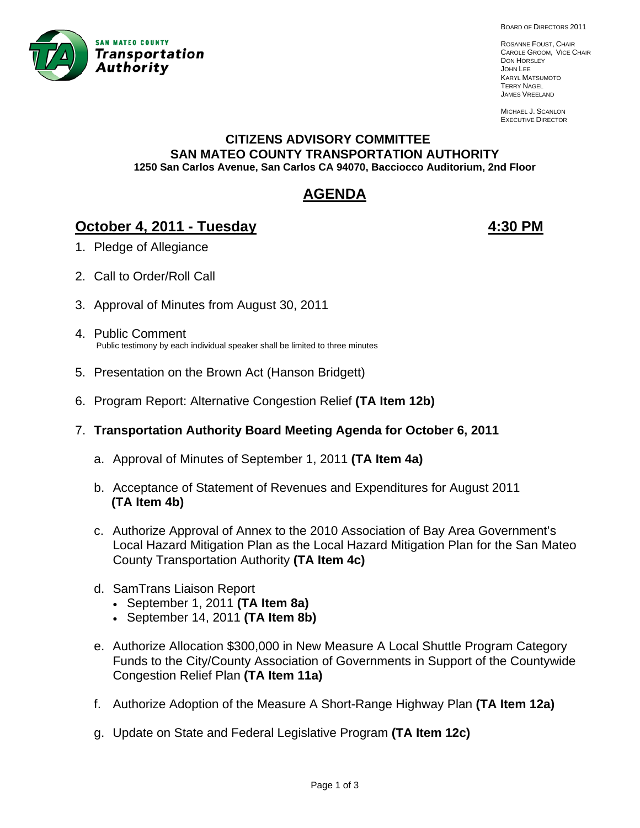

BOARD OF DIRECTORS 2011

ROSANNE FOUST, CHAIR CAROLE GROOM, VICE CHAIR DON HORSLEY JOHN LEE KARYL MATSUMOTO TERRY NAGEL JAMES VREELAND

MICHAEL J. SCANLON EXECUTIVE DIRECTOR

#### **CITIZENS ADVISORY COMMITTEE SAN MATEO COUNTY TRANSPORTATION AUTHORITY 1250 San Carlos Avenue, San Carlos CA 94070, Bacciocco Auditorium, 2nd Floor**

# **AGENDA**

## **October 4, 2011 - Tuesday 4:30 PM**

- 1. Pledge of Allegiance
- 2. Call to Order/Roll Call
- 3. Approval of Minutes from August 30, 2011
- 4. Public Comment Public testimony by each individual speaker shall be limited to three minutes
- 5. Presentation on the Brown Act (Hanson Bridgett)
- 6. Program Report: Alternative Congestion Relief **(TA Item 12b)**
- 7. **Transportation Authority Board Meeting Agenda for October 6, 2011**
	- a. Approval of Minutes of September 1, 2011 **(TA Item 4a)**
	- b. Acceptance of Statement of Revenues and Expenditures for August 2011  **(TA Item 4b)**
	- c. Authorize Approval of Annex to the 2010 Association of Bay Area Government's Local Hazard Mitigation Plan as the Local Hazard Mitigation Plan for the San Mateo County Transportation Authority **(TA Item 4c)**
	- d. SamTrans Liaison Report
		- September 1, 2011 **(TA Item 8a)**
		- September 14, 2011 **(TA Item 8b)**
	- e. Authorize Allocation \$300,000 in New Measure A Local Shuttle Program Category Funds to the City/County Association of Governments in Support of the Countywide Congestion Relief Plan **(TA Item 11a)**
	- f. Authorize Adoption of the Measure A Short-Range Highway Plan **(TA Item 12a)**
	- g. Update on State and Federal Legislative Program **(TA Item 12c)**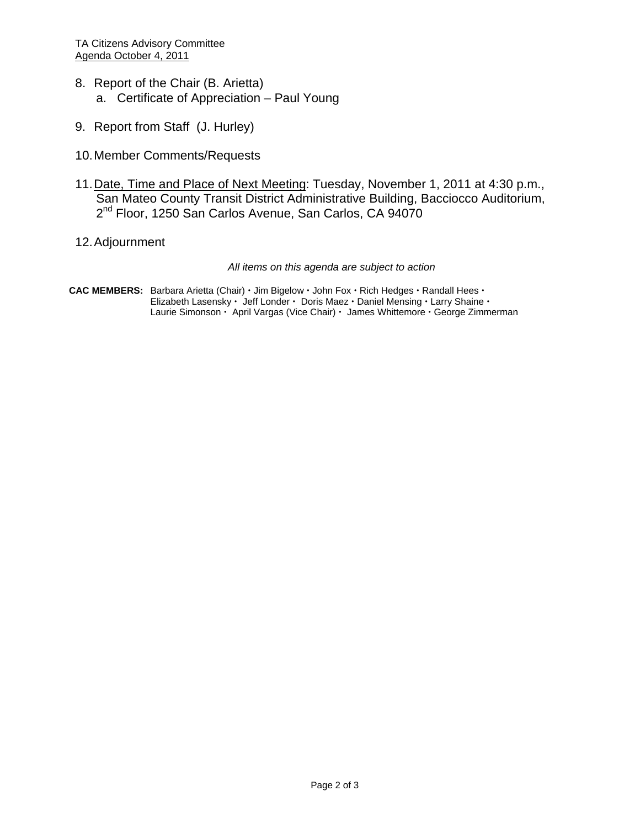- 8. Report of the Chair (B. Arietta) a. Certificate of Appreciation – Paul Young
- 9. Report from Staff (J. Hurley)
- 10. Member Comments/Requests
- 11. Date, Time and Place of Next Meeting: Tuesday, November 1, 2011 at 4:30 p.m., San Mateo County Transit District Administrative Building, Bacciocco Auditorium, 2<sup>nd</sup> Floor, 1250 San Carlos Avenue, San Carlos, CA 94070
- 12. Adjournment

*All items on this agenda are subject to action* 

CAC MEMBERS: Barbara Arietta (Chair) · Jim Bigelow · John Fox · Rich Hedges · Randall Hees · Elizabeth Lasensky · Jeff Londer · Doris Maez · Daniel Mensing · Larry Shaine · Laurie Simonson · April Vargas (Vice Chair) · James Whittemore · George Zimmerman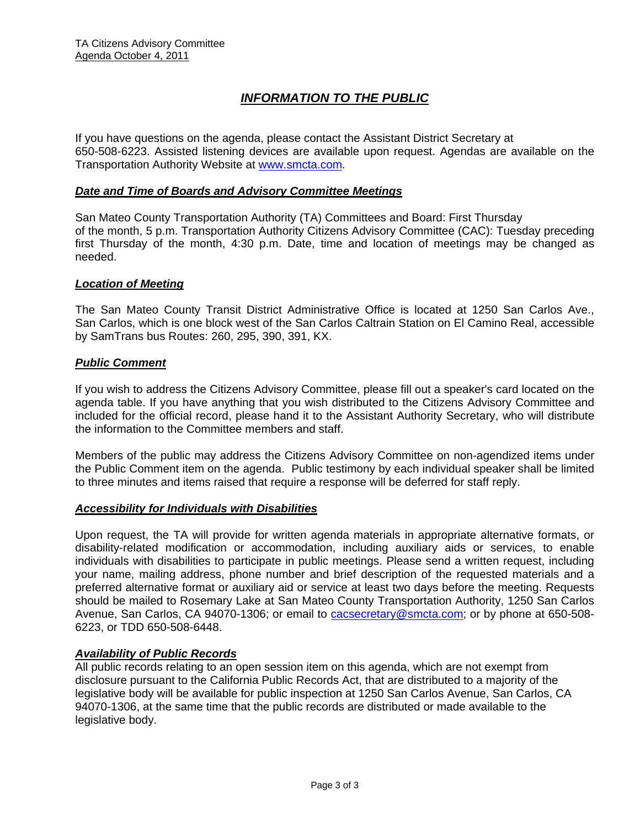## *INFORMATION TO THE PUBLIC*

If you have questions on the agenda, please contact the Assistant District Secretary at 650-508-6223. Assisted listening devices are available upon request. Agendas are available on the Transportation Authority Website at www.smcta.com.

#### *Date and Time of Boards and Advisory Committee Meetings*

San Mateo County Transportation Authority (TA) Committees and Board: First Thursday of the month, 5 p.m. Transportation Authority Citizens Advisory Committee (CAC): Tuesday preceding first Thursday of the month, 4:30 p.m. Date, time and location of meetings may be changed as needed.

#### *Location of Meeting*

The San Mateo County Transit District Administrative Office is located at 1250 San Carlos Ave., San Carlos, which is one block west of the San Carlos Caltrain Station on El Camino Real, accessible by SamTrans bus Routes: 260, 295, 390, 391, KX.

#### *Public Comment*

If you wish to address the Citizens Advisory Committee, please fill out a speaker's card located on the agenda table. If you have anything that you wish distributed to the Citizens Advisory Committee and included for the official record, please hand it to the Assistant Authority Secretary, who will distribute the information to the Committee members and staff.

Members of the public may address the Citizens Advisory Committee on non-agendized items under the Public Comment item on the agenda. Public testimony by each individual speaker shall be limited to three minutes and items raised that require a response will be deferred for staff reply.

#### *Accessibility for Individuals with Disabilities*

Upon request, the TA will provide for written agenda materials in appropriate alternative formats, or disability-related modification or accommodation, including auxiliary aids or services, to enable individuals with disabilities to participate in public meetings. Please send a written request, including your name, mailing address, phone number and brief description of the requested materials and a preferred alternative format or auxiliary aid or service at least two days before the meeting. Requests should be mailed to Rosemary Lake at San Mateo County Transportation Authority, 1250 San Carlos Avenue, San Carlos, CA 94070-1306; or email to **cacsecretary@smcta.com**; or by phone at 650-508-6223, or TDD 650-508-6448.

#### *Availability of Public Records*

All public records relating to an open session item on this agenda, which are not exempt from disclosure pursuant to the California Public Records Act, that are distributed to a majority of the legislative body will be available for public inspection at 1250 San Carlos Avenue, San Carlos, CA 94070-1306, at the same time that the public records are distributed or made available to the legislative body.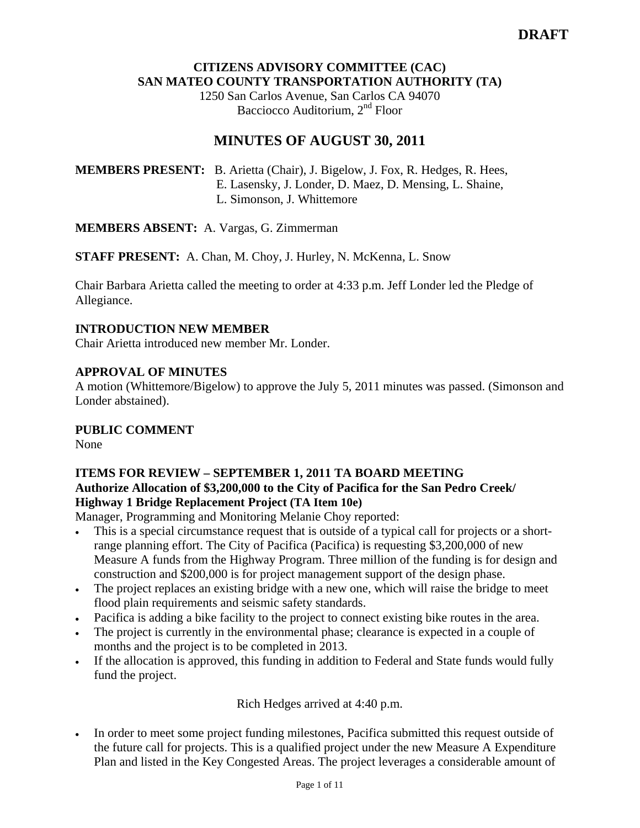#### **CITIZENS ADVISORY COMMITTEE (CAC) SAN MATEO COUNTY TRANSPORTATION AUTHORITY (TA)**

1250 San Carlos Avenue, San Carlos CA 94070 Bacciocco Auditorium, 2<sup>nd</sup> Floor

## **MINUTES OF AUGUST 30, 2011**

**MEMBERS PRESENT:** B. Arietta (Chair), J. Bigelow, J. Fox, R. Hedges, R. Hees, E. Lasensky, J. Londer, D. Maez, D. Mensing, L. Shaine, L. Simonson, J. Whittemore

**MEMBERS ABSENT:** A. Vargas, G. Zimmerman

**STAFF PRESENT:** A. Chan, M. Choy, J. Hurley, N. McKenna, L. Snow

Chair Barbara Arietta called the meeting to order at 4:33 p.m. Jeff Londer led the Pledge of Allegiance.

#### **INTRODUCTION NEW MEMBER**

Chair Arietta introduced new member Mr. Londer.

#### **APPROVAL OF MINUTES**

A motion (Whittemore/Bigelow) to approve the July 5, 2011 minutes was passed. (Simonson and Londer abstained).

#### **PUBLIC COMMENT**

None

#### **ITEMS FOR REVIEW – SEPTEMBER 1, 2011 TA BOARD MEETING Authorize Allocation of \$3,200,000 to the City of Pacifica for the San Pedro Creek/ Highway 1 Bridge Replacement Project (TA Item 10e)**

Manager, Programming and Monitoring Melanie Choy reported:

- This is a special circumstance request that is outside of a typical call for projects or a shortrange planning effort. The City of Pacifica (Pacifica) is requesting \$3,200,000 of new Measure A funds from the Highway Program. Three million of the funding is for design and construction and \$200,000 is for project management support of the design phase.
- The project replaces an existing bridge with a new one, which will raise the bridge to meet flood plain requirements and seismic safety standards.
- Pacifica is adding a bike facility to the project to connect existing bike routes in the area.
- The project is currently in the environmental phase; clearance is expected in a couple of months and the project is to be completed in 2013.
- If the allocation is approved, this funding in addition to Federal and State funds would fully fund the project.

Rich Hedges arrived at 4:40 p.m.

• In order to meet some project funding milestones, Pacifica submitted this request outside of the future call for projects. This is a qualified project under the new Measure A Expenditure Plan and listed in the Key Congested Areas. The project leverages a considerable amount of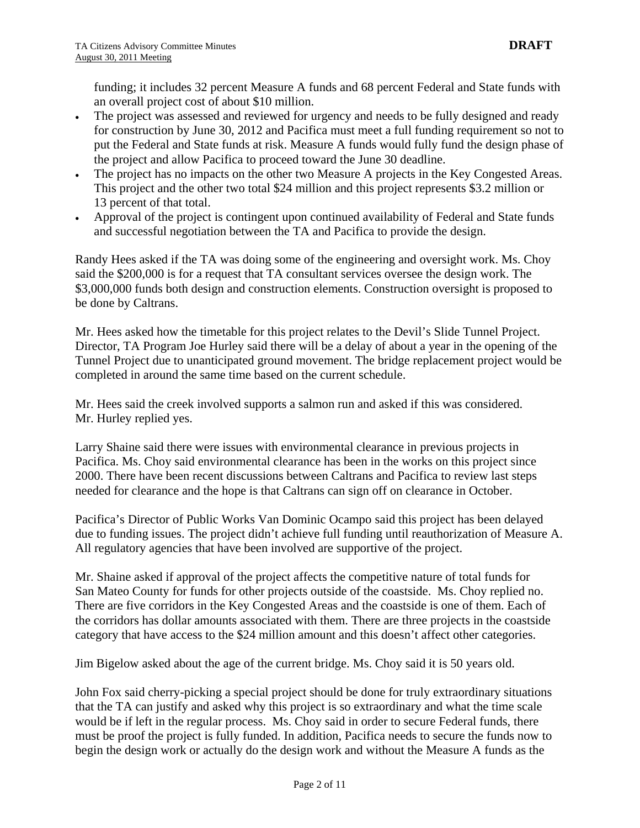funding; it includes 32 percent Measure A funds and 68 percent Federal and State funds with an overall project cost of about \$10 million.

- The project was assessed and reviewed for urgency and needs to be fully designed and ready for construction by June 30, 2012 and Pacifica must meet a full funding requirement so not to put the Federal and State funds at risk. Measure A funds would fully fund the design phase of the project and allow Pacifica to proceed toward the June 30 deadline.
- The project has no impacts on the other two Measure A projects in the Key Congested Areas. This project and the other two total \$24 million and this project represents \$3.2 million or 13 percent of that total.
- Approval of the project is contingent upon continued availability of Federal and State funds and successful negotiation between the TA and Pacifica to provide the design.

Randy Hees asked if the TA was doing some of the engineering and oversight work. Ms. Choy said the \$200,000 is for a request that TA consultant services oversee the design work. The \$3,000,000 funds both design and construction elements. Construction oversight is proposed to be done by Caltrans.

Mr. Hees asked how the timetable for this project relates to the Devil's Slide Tunnel Project. Director, TA Program Joe Hurley said there will be a delay of about a year in the opening of the Tunnel Project due to unanticipated ground movement. The bridge replacement project would be completed in around the same time based on the current schedule.

Mr. Hees said the creek involved supports a salmon run and asked if this was considered. Mr. Hurley replied yes.

Larry Shaine said there were issues with environmental clearance in previous projects in Pacifica. Ms. Choy said environmental clearance has been in the works on this project since 2000. There have been recent discussions between Caltrans and Pacifica to review last steps needed for clearance and the hope is that Caltrans can sign off on clearance in October.

Pacifica's Director of Public Works Van Dominic Ocampo said this project has been delayed due to funding issues. The project didn't achieve full funding until reauthorization of Measure A. All regulatory agencies that have been involved are supportive of the project.

Mr. Shaine asked if approval of the project affects the competitive nature of total funds for San Mateo County for funds for other projects outside of the coastside. Ms. Choy replied no. There are five corridors in the Key Congested Areas and the coastside is one of them. Each of the corridors has dollar amounts associated with them. There are three projects in the coastside category that have access to the \$24 million amount and this doesn't affect other categories.

Jim Bigelow asked about the age of the current bridge. Ms. Choy said it is 50 years old.

John Fox said cherry-picking a special project should be done for truly extraordinary situations that the TA can justify and asked why this project is so extraordinary and what the time scale would be if left in the regular process. Ms. Choy said in order to secure Federal funds, there must be proof the project is fully funded. In addition, Pacifica needs to secure the funds now to begin the design work or actually do the design work and without the Measure A funds as the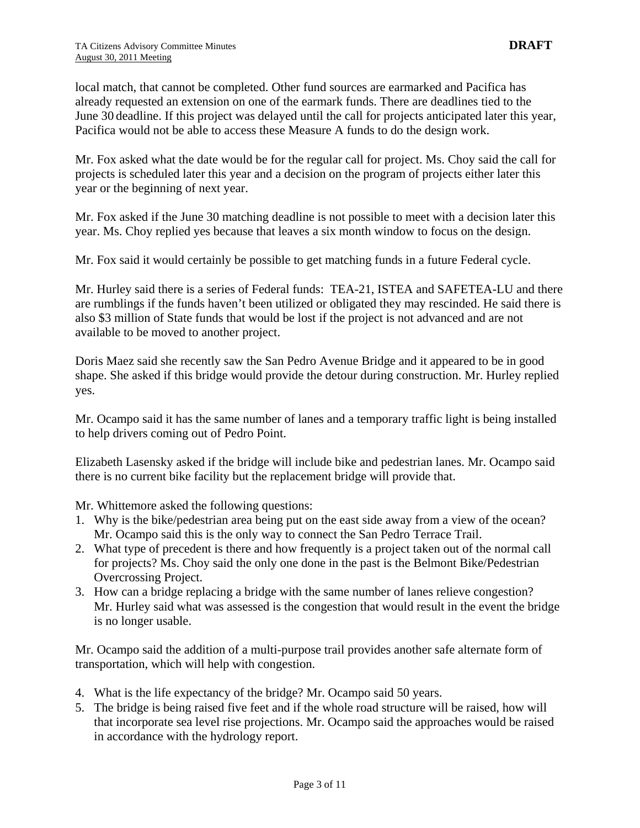local match, that cannot be completed. Other fund sources are earmarked and Pacifica has already requested an extension on one of the earmark funds. There are deadlines tied to the June 30 deadline. If this project was delayed until the call for projects anticipated later this year, Pacifica would not be able to access these Measure A funds to do the design work.

Mr. Fox asked what the date would be for the regular call for project. Ms. Choy said the call for projects is scheduled later this year and a decision on the program of projects either later this year or the beginning of next year.

Mr. Fox asked if the June 30 matching deadline is not possible to meet with a decision later this year. Ms. Choy replied yes because that leaves a six month window to focus on the design.

Mr. Fox said it would certainly be possible to get matching funds in a future Federal cycle.

Mr. Hurley said there is a series of Federal funds: TEA-21, ISTEA and SAFETEA-LU and there are rumblings if the funds haven't been utilized or obligated they may rescinded. He said there is also \$3 million of State funds that would be lost if the project is not advanced and are not available to be moved to another project.

Doris Maez said she recently saw the San Pedro Avenue Bridge and it appeared to be in good shape. She asked if this bridge would provide the detour during construction. Mr. Hurley replied yes.

Mr. Ocampo said it has the same number of lanes and a temporary traffic light is being installed to help drivers coming out of Pedro Point.

Elizabeth Lasensky asked if the bridge will include bike and pedestrian lanes. Mr. Ocampo said there is no current bike facility but the replacement bridge will provide that.

Mr. Whittemore asked the following questions:

- 1. Why is the bike/pedestrian area being put on the east side away from a view of the ocean? Mr. Ocampo said this is the only way to connect the San Pedro Terrace Trail.
- 2. What type of precedent is there and how frequently is a project taken out of the normal call for projects? Ms. Choy said the only one done in the past is the Belmont Bike/Pedestrian Overcrossing Project.
- 3. How can a bridge replacing a bridge with the same number of lanes relieve congestion? Mr. Hurley said what was assessed is the congestion that would result in the event the bridge is no longer usable.

Mr. Ocampo said the addition of a multi-purpose trail provides another safe alternate form of transportation, which will help with congestion.

- 4. What is the life expectancy of the bridge? Mr. Ocampo said 50 years.
- 5. The bridge is being raised five feet and if the whole road structure will be raised, how will that incorporate sea level rise projections. Mr. Ocampo said the approaches would be raised in accordance with the hydrology report.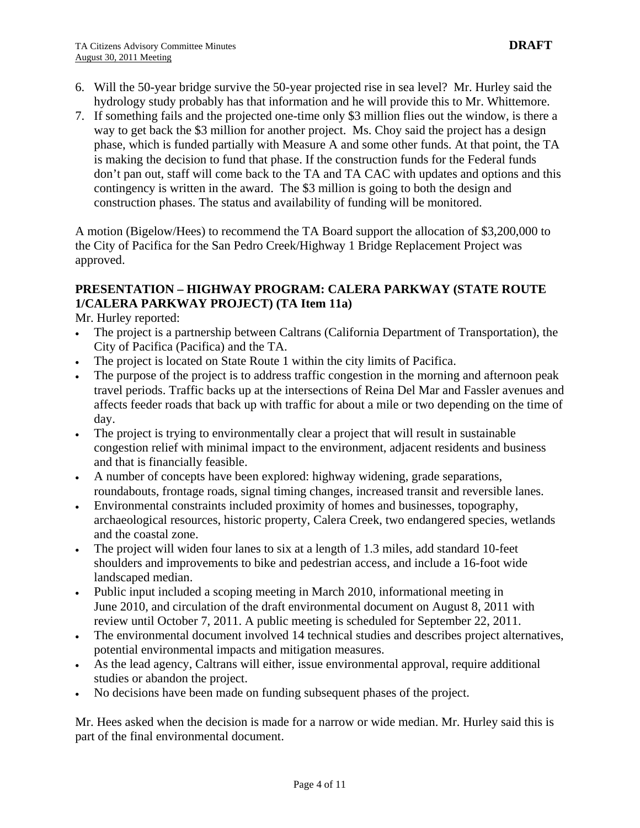- 6. Will the 50-year bridge survive the 50-year projected rise in sea level? Mr. Hurley said the hydrology study probably has that information and he will provide this to Mr. Whittemore.
- 7. If something fails and the projected one-time only \$3 million flies out the window, is there a way to get back the \$3 million for another project. Ms. Choy said the project has a design phase, which is funded partially with Measure A and some other funds. At that point, the TA is making the decision to fund that phase. If the construction funds for the Federal funds don't pan out, staff will come back to the TA and TA CAC with updates and options and this contingency is written in the award. The \$3 million is going to both the design and construction phases. The status and availability of funding will be monitored.

A motion (Bigelow/Hees) to recommend the TA Board support the allocation of \$3,200,000 to the City of Pacifica for the San Pedro Creek/Highway 1 Bridge Replacement Project was approved.

#### **PRESENTATION – HIGHWAY PROGRAM: CALERA PARKWAY (STATE ROUTE 1/CALERA PARKWAY PROJECT) (TA Item 11a)**

Mr. Hurley reported:

- The project is a partnership between Caltrans (California Department of Transportation), the City of Pacifica (Pacifica) and the TA.
- The project is located on State Route 1 within the city limits of Pacifica.
- The purpose of the project is to address traffic congestion in the morning and afternoon peak travel periods. Traffic backs up at the intersections of Reina Del Mar and Fassler avenues and affects feeder roads that back up with traffic for about a mile or two depending on the time of day.
- The project is trying to environmentally clear a project that will result in sustainable congestion relief with minimal impact to the environment, adjacent residents and business and that is financially feasible.
- A number of concepts have been explored: highway widening, grade separations, roundabouts, frontage roads, signal timing changes, increased transit and reversible lanes.
- Environmental constraints included proximity of homes and businesses, topography, archaeological resources, historic property, Calera Creek, two endangered species, wetlands and the coastal zone.
- The project will widen four lanes to six at a length of 1.3 miles, add standard 10-feet shoulders and improvements to bike and pedestrian access, and include a 16-foot wide landscaped median.
- Public input included a scoping meeting in March 2010, informational meeting in June 2010, and circulation of the draft environmental document on August 8, 2011 with review until October 7, 2011. A public meeting is scheduled for September 22, 2011.
- The environmental document involved 14 technical studies and describes project alternatives, potential environmental impacts and mitigation measures.
- As the lead agency, Caltrans will either, issue environmental approval, require additional studies or abandon the project.
- No decisions have been made on funding subsequent phases of the project.

Mr. Hees asked when the decision is made for a narrow or wide median. Mr. Hurley said this is part of the final environmental document.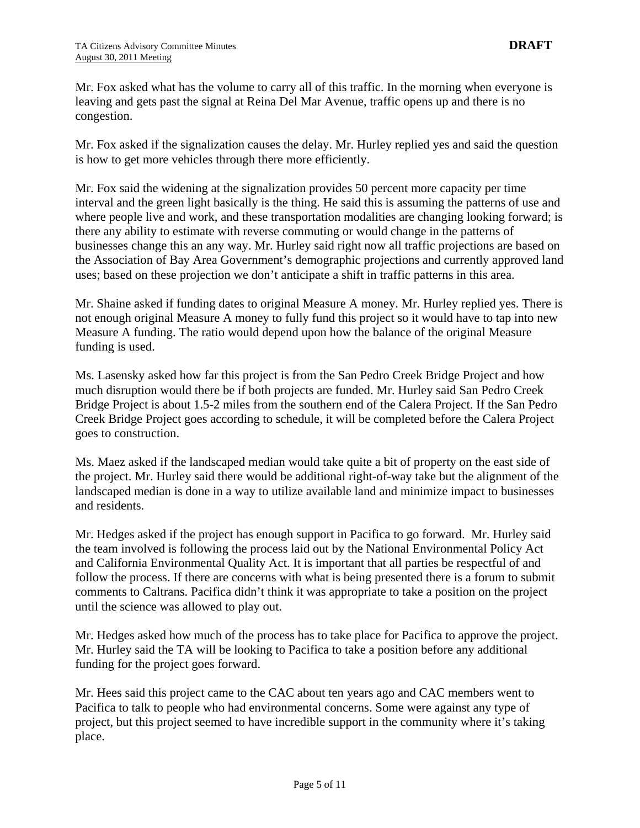Mr. Fox asked what has the volume to carry all of this traffic. In the morning when everyone is leaving and gets past the signal at Reina Del Mar Avenue, traffic opens up and there is no congestion.

Mr. Fox asked if the signalization causes the delay. Mr. Hurley replied yes and said the question is how to get more vehicles through there more efficiently.

Mr. Fox said the widening at the signalization provides 50 percent more capacity per time interval and the green light basically is the thing. He said this is assuming the patterns of use and where people live and work, and these transportation modalities are changing looking forward; is there any ability to estimate with reverse commuting or would change in the patterns of businesses change this an any way. Mr. Hurley said right now all traffic projections are based on the Association of Bay Area Government's demographic projections and currently approved land uses; based on these projection we don't anticipate a shift in traffic patterns in this area.

Mr. Shaine asked if funding dates to original Measure A money. Mr. Hurley replied yes. There is not enough original Measure A money to fully fund this project so it would have to tap into new Measure A funding. The ratio would depend upon how the balance of the original Measure funding is used.

Ms. Lasensky asked how far this project is from the San Pedro Creek Bridge Project and how much disruption would there be if both projects are funded. Mr. Hurley said San Pedro Creek Bridge Project is about 1.5-2 miles from the southern end of the Calera Project. If the San Pedro Creek Bridge Project goes according to schedule, it will be completed before the Calera Project goes to construction.

Ms. Maez asked if the landscaped median would take quite a bit of property on the east side of the project. Mr. Hurley said there would be additional right-of-way take but the alignment of the landscaped median is done in a way to utilize available land and minimize impact to businesses and residents.

Mr. Hedges asked if the project has enough support in Pacifica to go forward. Mr. Hurley said the team involved is following the process laid out by the National Environmental Policy Act and California Environmental Quality Act. It is important that all parties be respectful of and follow the process. If there are concerns with what is being presented there is a forum to submit comments to Caltrans. Pacifica didn't think it was appropriate to take a position on the project until the science was allowed to play out.

Mr. Hedges asked how much of the process has to take place for Pacifica to approve the project. Mr. Hurley said the TA will be looking to Pacifica to take a position before any additional funding for the project goes forward.

Mr. Hees said this project came to the CAC about ten years ago and CAC members went to Pacifica to talk to people who had environmental concerns. Some were against any type of project, but this project seemed to have incredible support in the community where it's taking place.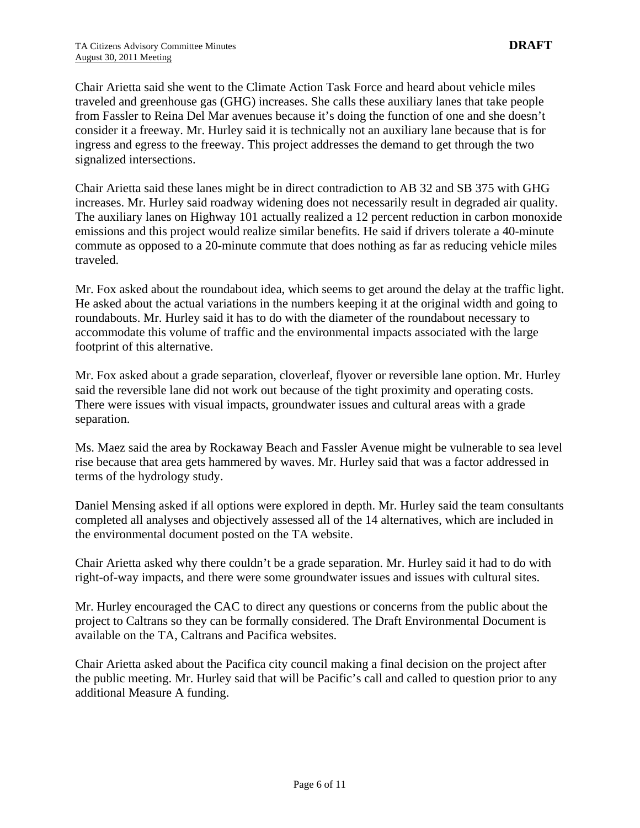Chair Arietta said she went to the Climate Action Task Force and heard about vehicle miles traveled and greenhouse gas (GHG) increases. She calls these auxiliary lanes that take people from Fassler to Reina Del Mar avenues because it's doing the function of one and she doesn't consider it a freeway. Mr. Hurley said it is technically not an auxiliary lane because that is for ingress and egress to the freeway. This project addresses the demand to get through the two signalized intersections.

Chair Arietta said these lanes might be in direct contradiction to AB 32 and SB 375 with GHG increases. Mr. Hurley said roadway widening does not necessarily result in degraded air quality. The auxiliary lanes on Highway 101 actually realized a 12 percent reduction in carbon monoxide emissions and this project would realize similar benefits. He said if drivers tolerate a 40-minute commute as opposed to a 20-minute commute that does nothing as far as reducing vehicle miles traveled.

Mr. Fox asked about the roundabout idea, which seems to get around the delay at the traffic light. He asked about the actual variations in the numbers keeping it at the original width and going to roundabouts. Mr. Hurley said it has to do with the diameter of the roundabout necessary to accommodate this volume of traffic and the environmental impacts associated with the large footprint of this alternative.

Mr. Fox asked about a grade separation, cloverleaf, flyover or reversible lane option. Mr. Hurley said the reversible lane did not work out because of the tight proximity and operating costs. There were issues with visual impacts, groundwater issues and cultural areas with a grade separation.

Ms. Maez said the area by Rockaway Beach and Fassler Avenue might be vulnerable to sea level rise because that area gets hammered by waves. Mr. Hurley said that was a factor addressed in terms of the hydrology study.

Daniel Mensing asked if all options were explored in depth. Mr. Hurley said the team consultants completed all analyses and objectively assessed all of the 14 alternatives, which are included in the environmental document posted on the TA website.

Chair Arietta asked why there couldn't be a grade separation. Mr. Hurley said it had to do with right-of-way impacts, and there were some groundwater issues and issues with cultural sites.

Mr. Hurley encouraged the CAC to direct any questions or concerns from the public about the project to Caltrans so they can be formally considered. The Draft Environmental Document is available on the TA, Caltrans and Pacifica websites.

Chair Arietta asked about the Pacifica city council making a final decision on the project after the public meeting. Mr. Hurley said that will be Pacific's call and called to question prior to any additional Measure A funding.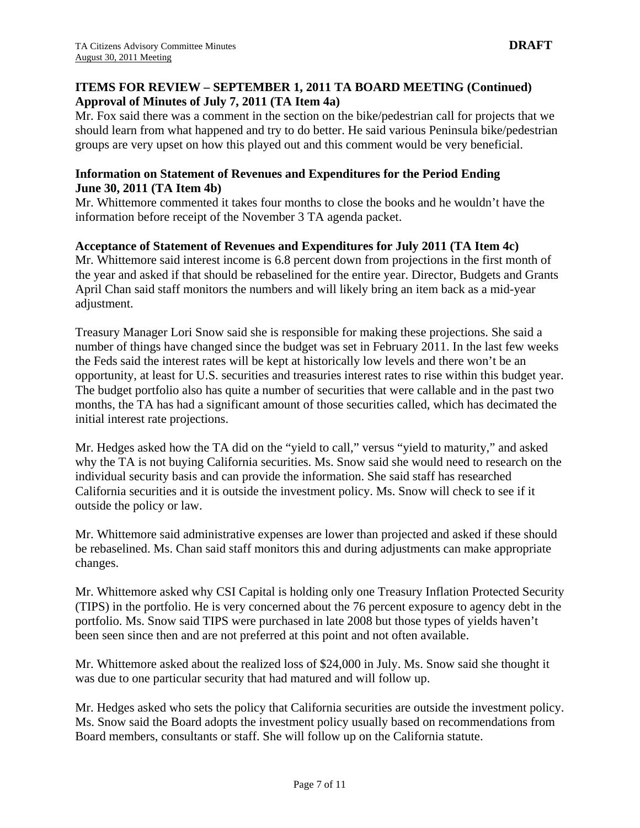#### **ITEMS FOR REVIEW – SEPTEMBER 1, 2011 TA BOARD MEETING (Continued) Approval of Minutes of July 7, 2011 (TA Item 4a)**

Mr. Fox said there was a comment in the section on the bike/pedestrian call for projects that we should learn from what happened and try to do better. He said various Peninsula bike/pedestrian groups are very upset on how this played out and this comment would be very beneficial.

#### **Information on Statement of Revenues and Expenditures for the Period Ending June 30, 2011 (TA Item 4b)**

Mr. Whittemore commented it takes four months to close the books and he wouldn't have the information before receipt of the November 3 TA agenda packet.

#### **Acceptance of Statement of Revenues and Expenditures for July 2011 (TA Item 4c)**

Mr. Whittemore said interest income is 6.8 percent down from projections in the first month of the year and asked if that should be rebaselined for the entire year. Director, Budgets and Grants April Chan said staff monitors the numbers and will likely bring an item back as a mid-year adjustment.

Treasury Manager Lori Snow said she is responsible for making these projections. She said a number of things have changed since the budget was set in February 2011. In the last few weeks the Feds said the interest rates will be kept at historically low levels and there won't be an opportunity, at least for U.S. securities and treasuries interest rates to rise within this budget year. The budget portfolio also has quite a number of securities that were callable and in the past two months, the TA has had a significant amount of those securities called, which has decimated the initial interest rate projections.

Mr. Hedges asked how the TA did on the "yield to call," versus "yield to maturity," and asked why the TA is not buying California securities. Ms. Snow said she would need to research on the individual security basis and can provide the information. She said staff has researched California securities and it is outside the investment policy. Ms. Snow will check to see if it outside the policy or law.

Mr. Whittemore said administrative expenses are lower than projected and asked if these should be rebaselined. Ms. Chan said staff monitors this and during adjustments can make appropriate changes.

Mr. Whittemore asked why CSI Capital is holding only one Treasury Inflation Protected Security (TIPS) in the portfolio. He is very concerned about the 76 percent exposure to agency debt in the portfolio. Ms. Snow said TIPS were purchased in late 2008 but those types of yields haven't been seen since then and are not preferred at this point and not often available.

Mr. Whittemore asked about the realized loss of \$24,000 in July. Ms. Snow said she thought it was due to one particular security that had matured and will follow up.

Mr. Hedges asked who sets the policy that California securities are outside the investment policy. Ms. Snow said the Board adopts the investment policy usually based on recommendations from Board members, consultants or staff. She will follow up on the California statute.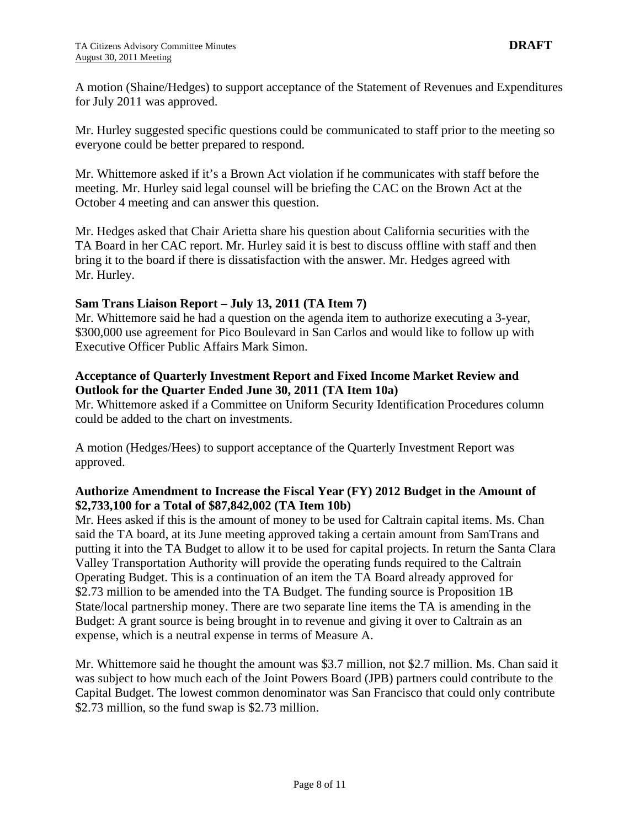A motion (Shaine/Hedges) to support acceptance of the Statement of Revenues and Expenditures for July 2011 was approved.

Mr. Hurley suggested specific questions could be communicated to staff prior to the meeting so everyone could be better prepared to respond.

Mr. Whittemore asked if it's a Brown Act violation if he communicates with staff before the meeting. Mr. Hurley said legal counsel will be briefing the CAC on the Brown Act at the October 4 meeting and can answer this question.

Mr. Hedges asked that Chair Arietta share his question about California securities with the TA Board in her CAC report. Mr. Hurley said it is best to discuss offline with staff and then bring it to the board if there is dissatisfaction with the answer. Mr. Hedges agreed with Mr. Hurley.

#### **Sam Trans Liaison Report – July 13, 2011 (TA Item 7)**

Mr. Whittemore said he had a question on the agenda item to authorize executing a 3-year, \$300,000 use agreement for Pico Boulevard in San Carlos and would like to follow up with Executive Officer Public Affairs Mark Simon.

#### **Acceptance of Quarterly Investment Report and Fixed Income Market Review and Outlook for the Quarter Ended June 30, 2011 (TA Item 10a)**

Mr. Whittemore asked if a Committee on Uniform Security Identification Procedures column could be added to the chart on investments.

A motion (Hedges/Hees) to support acceptance of the Quarterly Investment Report was approved.

#### **Authorize Amendment to Increase the Fiscal Year (FY) 2012 Budget in the Amount of \$2,733,100 for a Total of \$87,842,002 (TA Item 10b)**

Mr. Hees asked if this is the amount of money to be used for Caltrain capital items. Ms. Chan said the TA board, at its June meeting approved taking a certain amount from SamTrans and putting it into the TA Budget to allow it to be used for capital projects. In return the Santa Clara Valley Transportation Authority will provide the operating funds required to the Caltrain Operating Budget. This is a continuation of an item the TA Board already approved for \$2.73 million to be amended into the TA Budget. The funding source is Proposition 1B State/local partnership money. There are two separate line items the TA is amending in the Budget: A grant source is being brought in to revenue and giving it over to Caltrain as an expense, which is a neutral expense in terms of Measure A.

Mr. Whittemore said he thought the amount was \$3.7 million, not \$2.7 million. Ms. Chan said it was subject to how much each of the Joint Powers Board (JPB) partners could contribute to the Capital Budget. The lowest common denominator was San Francisco that could only contribute \$2.73 million, so the fund swap is \$2.73 million.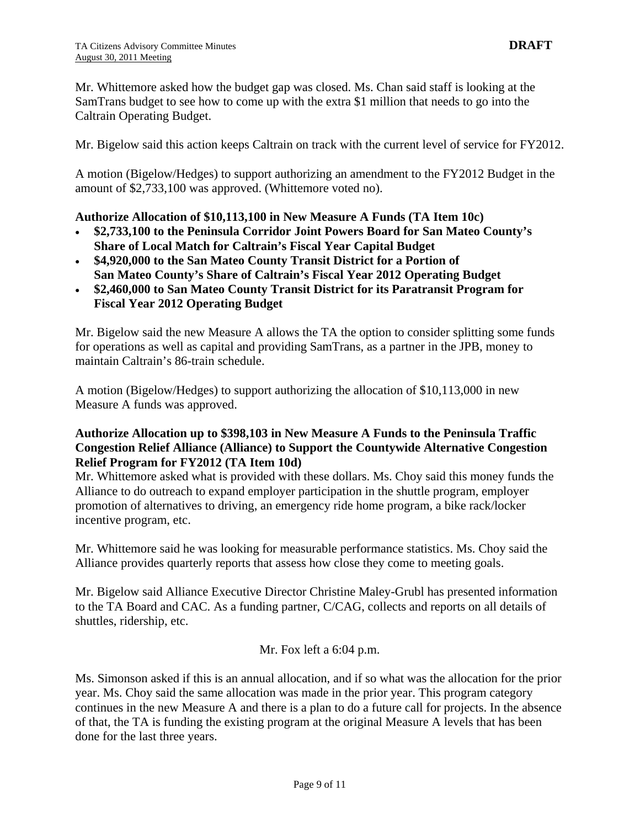Mr. Whittemore asked how the budget gap was closed. Ms. Chan said staff is looking at the SamTrans budget to see how to come up with the extra \$1 million that needs to go into the Caltrain Operating Budget.

Mr. Bigelow said this action keeps Caltrain on track with the current level of service for FY2012.

A motion (Bigelow/Hedges) to support authorizing an amendment to the FY2012 Budget in the amount of \$2,733,100 was approved. (Whittemore voted no).

#### **Authorize Allocation of \$10,113,100 in New Measure A Funds (TA Item 10c)**

- **\$2,733,100 to the Peninsula Corridor Joint Powers Board for San Mateo County's Share of Local Match for Caltrain's Fiscal Year Capital Budget**
- **\$4,920,000 to the San Mateo County Transit District for a Portion of San Mateo County's Share of Caltrain's Fiscal Year 2012 Operating Budget**
- **\$2,460,000 to San Mateo County Transit District for its Paratransit Program for Fiscal Year 2012 Operating Budget**

Mr. Bigelow said the new Measure A allows the TA the option to consider splitting some funds for operations as well as capital and providing SamTrans, as a partner in the JPB, money to maintain Caltrain's 86-train schedule.

A motion (Bigelow/Hedges) to support authorizing the allocation of \$10,113,000 in new Measure A funds was approved.

#### **Authorize Allocation up to \$398,103 in New Measure A Funds to the Peninsula Traffic Congestion Relief Alliance (Alliance) to Support the Countywide Alternative Congestion Relief Program for FY2012 (TA Item 10d)**

Mr. Whittemore asked what is provided with these dollars. Ms. Choy said this money funds the Alliance to do outreach to expand employer participation in the shuttle program, employer promotion of alternatives to driving, an emergency ride home program, a bike rack/locker incentive program, etc.

Mr. Whittemore said he was looking for measurable performance statistics. Ms. Choy said the Alliance provides quarterly reports that assess how close they come to meeting goals.

Mr. Bigelow said Alliance Executive Director Christine Maley-Grubl has presented information to the TA Board and CAC. As a funding partner, C/CAG, collects and reports on all details of shuttles, ridership, etc.

Mr. Fox left a 6:04 p.m.

Ms. Simonson asked if this is an annual allocation, and if so what was the allocation for the prior year. Ms. Choy said the same allocation was made in the prior year. This program category continues in the new Measure A and there is a plan to do a future call for projects. In the absence of that, the TA is funding the existing program at the original Measure A levels that has been done for the last three years.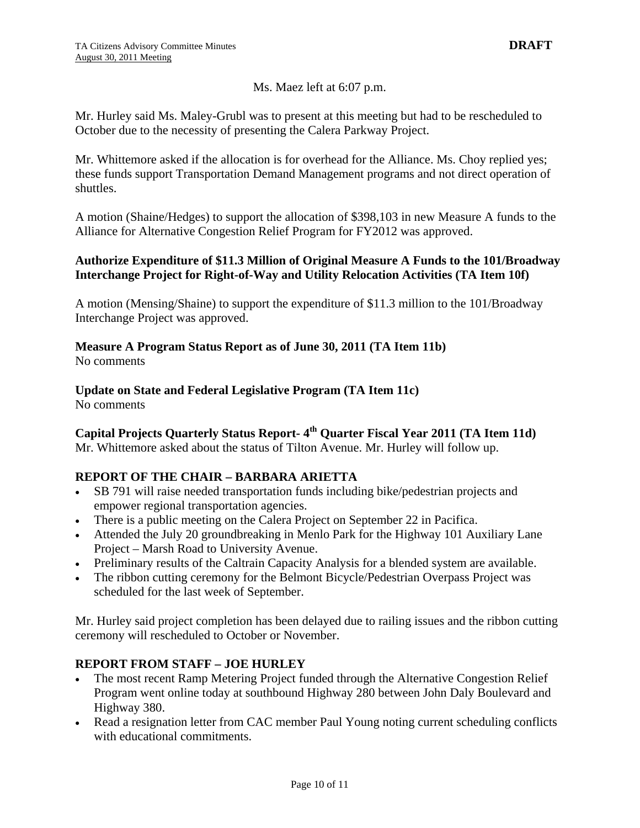#### Ms. Maez left at 6:07 p.m.

Mr. Hurley said Ms. Maley-Grubl was to present at this meeting but had to be rescheduled to October due to the necessity of presenting the Calera Parkway Project.

Mr. Whittemore asked if the allocation is for overhead for the Alliance. Ms. Choy replied yes; these funds support Transportation Demand Management programs and not direct operation of shuttles.

A motion (Shaine/Hedges) to support the allocation of \$398,103 in new Measure A funds to the Alliance for Alternative Congestion Relief Program for FY2012 was approved.

#### **Authorize Expenditure of \$11.3 Million of Original Measure A Funds to the 101/Broadway Interchange Project for Right-of-Way and Utility Relocation Activities (TA Item 10f)**

A motion (Mensing/Shaine) to support the expenditure of \$11.3 million to the 101/Broadway Interchange Project was approved.

# **Measure A Program Status Report as of June 30, 2011 (TA Item 11b)**

No comments

# **Update on State and Federal Legislative Program (TA Item 11c)**

No comments

## Capital Projects Quarterly Status Report- 4<sup>th</sup> Quarter Fiscal Year 2011 (TA Item 11d)

Mr. Whittemore asked about the status of Tilton Avenue. Mr. Hurley will follow up.

### **REPORT OF THE CHAIR – BARBARA ARIETTA**

- SB 791 will raise needed transportation funds including bike/pedestrian projects and empower regional transportation agencies.
- There is a public meeting on the Calera Project on September 22 in Pacifica.
- Attended the July 20 groundbreaking in Menlo Park for the Highway 101 Auxiliary Lane Project – Marsh Road to University Avenue.
- Preliminary results of the Caltrain Capacity Analysis for a blended system are available.
- The ribbon cutting ceremony for the Belmont Bicycle/Pedestrian Overpass Project was scheduled for the last week of September.

Mr. Hurley said project completion has been delayed due to railing issues and the ribbon cutting ceremony will rescheduled to October or November.

### **REPORT FROM STAFF – JOE HURLEY**

- The most recent Ramp Metering Project funded through the Alternative Congestion Relief Program went online today at southbound Highway 280 between John Daly Boulevard and Highway 380.
- Read a resignation letter from CAC member Paul Young noting current scheduling conflicts with educational commitments.